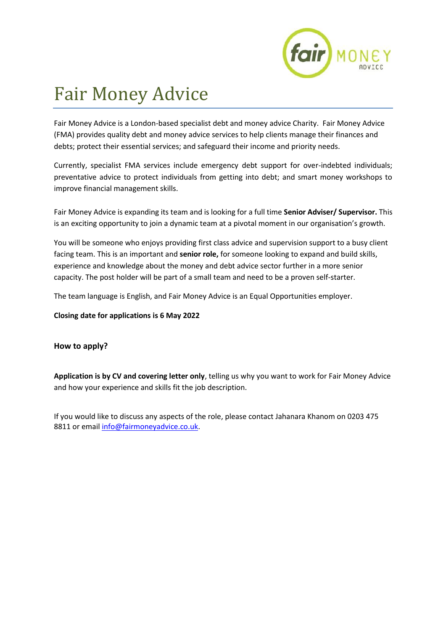

# Fair Money Advice

Fair Money Advice is a London-based specialist debt and money advice Charity. Fair Money Advice (FMA) provides quality debt and money advice services to help clients manage their finances and debts; protect their essential services; and safeguard their income and priority needs.

Currently, specialist FMA services include emergency debt support for over-indebted individuals; preventative advice to protect individuals from getting into debt; and smart money workshops to improve financial management skills.

Fair Money Advice is expanding its team and is looking for a full time **Senior Adviser/ Supervisor.** This is an exciting opportunity to join a dynamic team at a pivotal moment in our organisation's growth.

You will be someone who enjoys providing first class advice and supervision support to a busy client facing team. This is an important and **senior role,** for someone looking to expand and build skills, experience and knowledge about the money and debt advice sector further in a more senior capacity. The post holder will be part of a small team and need to be a proven self-starter.

The team language is English, and Fair Money Advice is an Equal Opportunities employer.

**Closing date for applications is 6 May 2022**

# **How to apply?**

**Application is by CV and covering letter only**, telling us why you want to work for Fair Money Advice and how your experience and skills fit the job description.

If you would like to discuss any aspects of the role, please contact Jahanara Khanom on 0203 475 8811 or email [info@fairmoneyadvice.co.uk.](mailto:info@fairmoneyadvice.co.uk)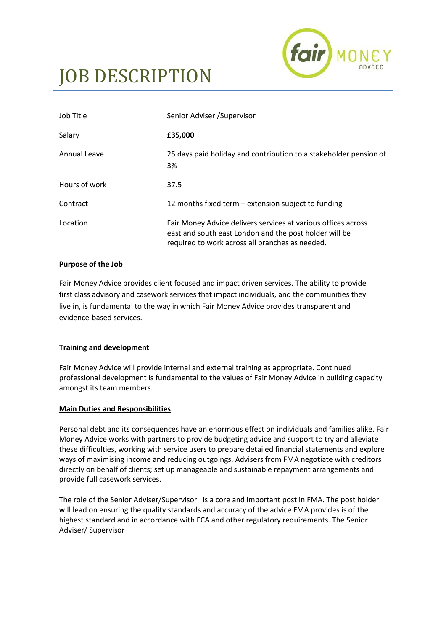

# JOB DESCRIPTION

| Job Title     | Senior Adviser / Supervisor                                                                                                                                                |
|---------------|----------------------------------------------------------------------------------------------------------------------------------------------------------------------------|
| Salary        | £35,000                                                                                                                                                                    |
| Annual Leave  | 25 days paid holiday and contribution to a stakeholder pension of<br>3%                                                                                                    |
| Hours of work | 37.5                                                                                                                                                                       |
| Contract      | 12 months fixed term – extension subject to funding                                                                                                                        |
| Location      | Fair Money Advice delivers services at various offices across<br>east and south east London and the post holder will be<br>required to work across all branches as needed. |

#### **Purpose of the Job**

Fair Money Advice provides client focused and impact driven services. The ability to provide first class advisory and casework services that impact individuals, and the communities they live in, is fundamental to the way in which Fair Money Advice provides transparent and evidence-based services.

#### **Training and development**

Fair Money Advice will provide internal and external training as appropriate. Continued professional development is fundamental to the values of Fair Money Advice in building capacity amongst its team members.

#### **Main Duties and Responsibilities**

Personal debt and its consequences have an enormous effect on individuals and families alike. Fair Money Advice works with partners to provide budgeting advice and support to try and alleviate these difficulties, working with service users to prepare detailed financial statements and explore ways of maximising income and reducing outgoings. Advisers from FMA negotiate with creditors directly on behalf of clients; set up manageable and sustainable repayment arrangements and provide full casework services.

The role of the Senior Adviser/Supervisor is a core and important post in FMA. The post holder will lead on ensuring the quality standards and accuracy of the advice FMA provides is of the highest standard and in accordance with FCA and other regulatory requirements. The Senior Adviser/ Supervisor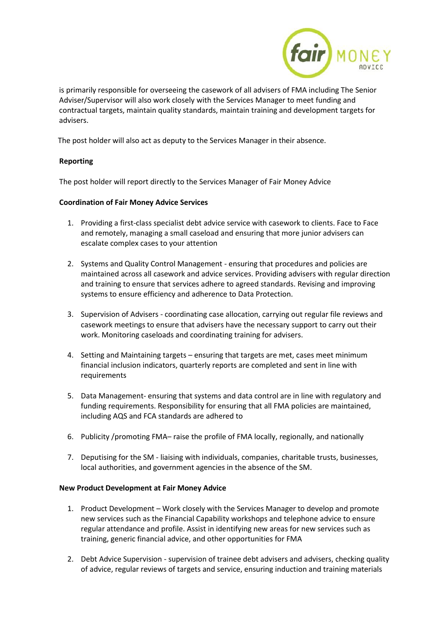

is primarily responsible for overseeing the casework of all advisers of FMA including The Senior Adviser/Supervisor will also work closely with the Services Manager to meet funding and contractual targets, maintain quality standards, maintain training and development targets for advisers.

The post holder will also act as deputy to the Services Manager in their absence.

## **Reporting**

The post holder will report directly to the Services Manager of Fair Money Advice

#### **Coordination of Fair Money Advice Services**

- 1. Providing a first-class specialist debt advice service with casework to clients. Face to Face and remotely, managing a small caseload and ensuring that more junior advisers can escalate complex cases to your attention
- 2. Systems and Quality Control Management ensuring that procedures and policies are maintained across all casework and advice services. Providing advisers with regular direction and training to ensure that services adhere to agreed standards. Revising and improving systems to ensure efficiency and adherence to Data Protection.
- 3. Supervision of Advisers coordinating case allocation, carrying out regular file reviews and casework meetings to ensure that advisers have the necessary support to carry out their work. Monitoring caseloads and coordinating training for advisers.
- 4. Setting and Maintaining targets ensuring that targets are met, cases meet minimum financial inclusion indicators, quarterly reports are completed and sent in line with requirements
- 5. Data Management- ensuring that systems and data control are in line with regulatory and funding requirements. Responsibility for ensuring that all FMA policies are maintained, including AQS and FCA standards are adhered to
- 6. Publicity /promoting FMA– raise the profile of FMA locally, regionally, and nationally
- 7. Deputising for the SM liaising with individuals, companies, charitable trusts, businesses, local authorities, and government agencies in the absence of the SM.

#### **New Product Development at Fair Money Advice**

- 1. Product Development Work closely with the Services Manager to develop and promote new services such as the Financial Capability workshops and telephone advice to ensure regular attendance and profile. Assist in identifying new areas for new services such as training, generic financial advice, and other opportunities for FMA
- 2. Debt Advice Supervision supervision of trainee debt advisers and advisers, checking quality of advice, regular reviews of targets and service, ensuring induction and training materials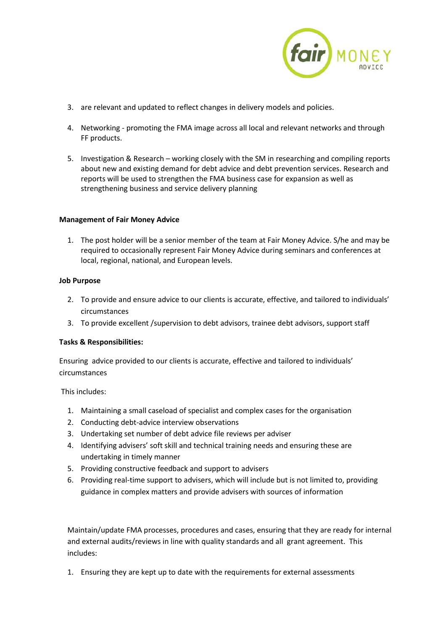

- 3. are relevant and updated to reflect changes in delivery models and policies.
- 4. Networking promoting the FMA image across all local and relevant networks and through FF products.
- 5. Investigation & Research working closely with the SM in researching and compiling reports about new and existing demand for debt advice and debt prevention services. Research and reports will be used to strengthen the FMA business case for expansion as well as strengthening business and service delivery planning

#### **Management of Fair Money Advice**

1. The post holder will be a senior member of the team at Fair Money Advice. S/he and may be required to occasionally represent Fair Money Advice during seminars and conferences at local, regional, national, and European levels.

## **Job Purpose**

- 2. To provide and ensure advice to our clients is accurate, effective, and tailored to individuals' circumstances
- 3. To provide excellent /supervision to debt advisors, trainee debt advisors, support staff

#### **Tasks & Responsibilities:**

Ensuring advice provided to our clients is accurate, effective and tailored to individuals' circumstances

This includes:

- 1. Maintaining a small caseload of specialist and complex cases for the organisation
- 2. Conducting debt-advice interview observations
- 3. Undertaking set number of debt advice file reviews per adviser
- 4. Identifying advisers' soft skill and technical training needs and ensuring these are undertaking in timely manner
- 5. Providing constructive feedback and support to advisers
- 6. Providing real-time support to advisers, which will include but is not limited to, providing guidance in complex matters and provide advisers with sources of information

Maintain/update FMA processes, procedures and cases, ensuring that they are ready for internal and external audits/reviews in line with quality standards and all grant agreement. This includes:

1. Ensuring they are kept up to date with the requirements for external assessments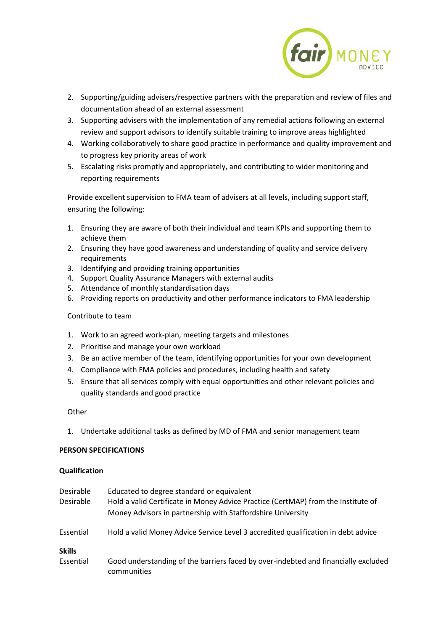

- 2. Supporting/guiding advisers/respective partners with the preparation and review of files and documentation ahead of an external assessment
- 3. Supporting advisers with the implementation of any remedial actions following an external review and support advisors to identify suitable training to improve areas highlighted
- 4. Working collaboratively to share good practice in performance and quality improvement and to progress key priority areas of work
- 5. Escalating risks promptly and appropriately, and contributing to wider monitoring and reporting requirements

Provide excellent supervision to FMA team of advisers at all levels, including support staff, ensuring the following:

- 1. Ensuring they are aware of both their individual and team KPIs and supporting them to achieve them
- 2. Ensuring they have good awareness and understanding of quality and service delivery requirements
- 3. Identifying and providing training opportunities
- 4. Support Quality Assurance Managers with external audits
- 5. Attendance of monthly standardisation days
- 6. Providing reports on productivity and other performance indicators to FMA leadership

#### Contribute to team

- 1. Work to an agreed work-plan, meeting targets and milestones
- 2. Prioritise and manage your own workload
- 3. Be an active member of the team, identifying opportunities for your own development
- 4. Compliance with FMA policies and procedures, including health and safety
- 5. Ensure that all services comply with equal opportunities and other relevant policies and quality standards and good practice

#### **Other**

1. Undertake additional tasks as defined by MD of FMA and senior management team

#### **PERSON SPECIFICATIONS**

#### **Qualification**

| Desirable<br>Desirable     | Educated to degree standard or equivalent<br>Hold a valid Certificate in Money Advice Practice (CertMAP) from the Institute of<br>Money Advisors in partnership with Staffordshire University |
|----------------------------|-----------------------------------------------------------------------------------------------------------------------------------------------------------------------------------------------|
| Essential                  | Hold a valid Money Advice Service Level 3 accredited qualification in debt advice                                                                                                             |
| <b>Skills</b><br>Essential | Good understanding of the barriers faced by over-indebted and financially excluded<br>communities                                                                                             |